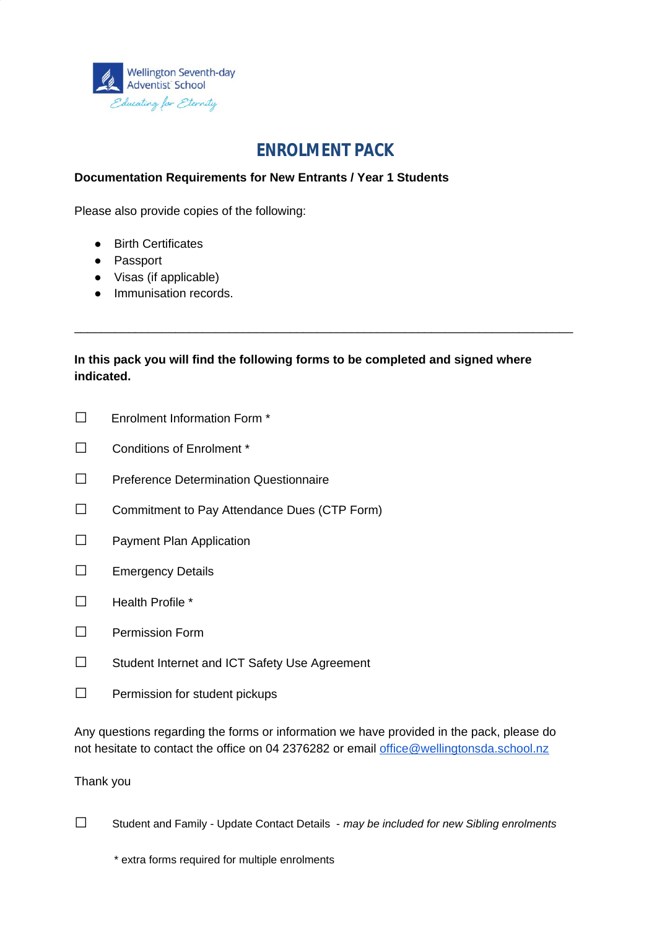

# **ENROLMENT PACK**

#### **Documentation Requirements for New Entrants / Year 1 Students**

Please also provide copies of the following:

- Birth Certificates
- Passport
- Visas (if applicable)
- Immunisation records.

### **In this pack you will find the following forms to be completed and signed where indicated.**

\_\_\_\_\_\_\_\_\_\_\_\_\_\_\_\_\_\_\_\_\_\_\_\_\_\_\_\_\_\_\_\_\_\_\_\_\_\_\_\_\_\_\_\_\_\_\_\_\_\_\_\_\_\_\_\_\_\_\_\_\_\_\_\_\_\_\_\_\_\_\_\_\_\_

- **□** Enrolment Information Form \*
- **□** Conditions of Enrolment \*
- **□** Preference Determination Questionnaire
- **□** Commitment to Pay Attendance Dues (CTP Form)
- **□** Payment Plan Application
- **□** Emergency Details
- **□** Health Profile \*
- **□** Permission Form
- **□** Student Internet and ICT Safety Use Agreement
- **□** Permission for student pickups

Any questions regarding the forms or information we have provided in the pack, please do not hesitate to contact the office on 04 2376282 or email [office@wellingtonsda.school.nz](mailto:office@wellingtonsda.school.nz)

#### Thank you

**□** Student and Family - Update Contact Details - *may be included for new Sibling enrolments*

\* extra forms required for multiple enrolments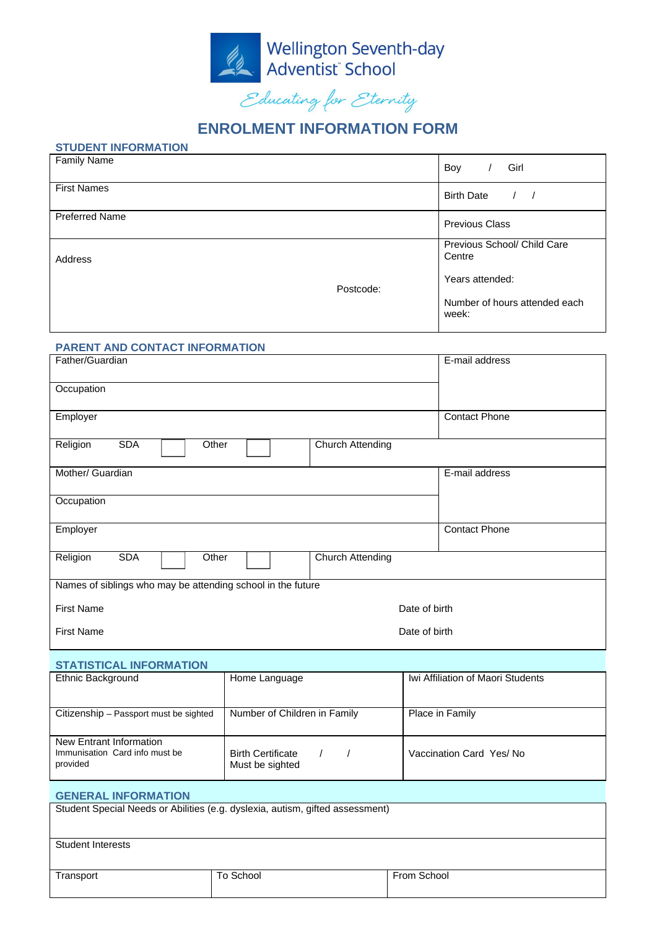

## **ENROLMENT INFORMATION FORM**

#### **STUDENT INFORMATION**

| <b>Family Name</b>    |  | Girl<br>Boy                            |
|-----------------------|--|----------------------------------------|
| <b>First Names</b>    |  | <b>Birth Date</b>                      |
| <b>Preferred Name</b> |  | <b>Previous Class</b>                  |
| Address               |  | Previous School/ Child Care<br>Centre  |
| Postcode:             |  | Years attended:                        |
|                       |  | Number of hours attended each<br>week: |

#### **PARENT AND CONTACT INFORMATION**

| Father/Guardian                                             | E-mail address          |  |  |  |
|-------------------------------------------------------------|-------------------------|--|--|--|
| Occupation                                                  |                         |  |  |  |
| Employer                                                    | <b>Contact Phone</b>    |  |  |  |
| Religion<br><b>SDA</b><br>Other                             | <b>Church Attending</b> |  |  |  |
| Mother/ Guardian                                            | E-mail address          |  |  |  |
| Occupation                                                  |                         |  |  |  |
| Employer                                                    | <b>Contact Phone</b>    |  |  |  |
| Religion<br><b>SDA</b><br>Other                             | <b>Church Attending</b> |  |  |  |
| Names of siblings who may be attending school in the future |                         |  |  |  |
| <b>First Name</b>                                           | Date of birth           |  |  |  |
| <b>First Name</b>                                           | Date of birth           |  |  |  |

#### **STATISTICAL INFORMATION**

| Ethnic Background                                                     | Home Language                               | Iwi Affiliation of Maori Students |
|-----------------------------------------------------------------------|---------------------------------------------|-----------------------------------|
| Citizenship - Passport must be sighted                                | Number of Children in Family                | Place in Family                   |
| New Entrant Information<br>Immunisation Card info must be<br>provided | <b>Birth Certificate</b><br>Must be sighted | Vaccination Card Yes/No           |

# **GENERAL INFORMATION** Student Special Needs or Abilities (e.g. dyslexia, autism, gifted assessment) Student Interests Transport Transport To School Transport Transport Transport Transport Transport Transport Transport Transport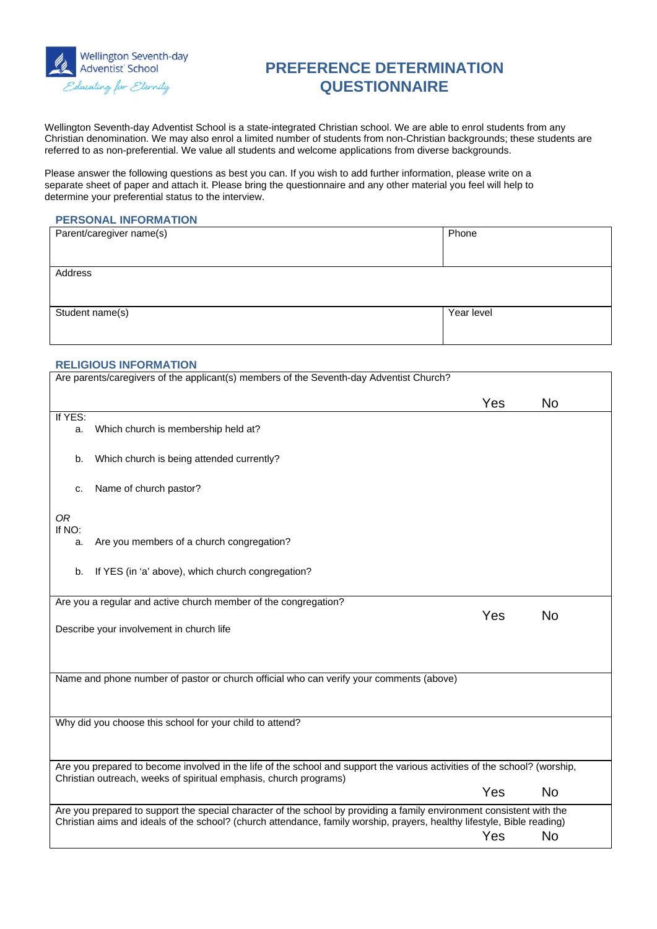

## **PREFERENCE DETERMINATION QUESTIONNAIRE**

Wellington Seventh-day Adventist School is a state-integrated Christian school. We are able to enrol students from any Christian denomination. We may also enrol a limited number of students from non-Christian backgrounds; these students are referred to as non-preferential. We value all students and welcome applications from diverse backgrounds.

Please answer the following questions as best you can. If you wish to add further information, please write on a separate sheet of paper and attach it. Please bring the questionnaire and any other material you feel will help to determine your preferential status to the interview.

#### **PERSONAL INFORMATION**

| Parent/caregiver name(s) | Phone      |
|--------------------------|------------|
|                          |            |
| Address                  |            |
|                          |            |
| Student name(s)          | Year level |
|                          |            |

#### **RELIGIOUS INFORMATION**

|               | Are parents/caregivers of the applicant(s) members of the Seventh-day Adventist Church?                                                                                                                                                          |     |           |
|---------------|--------------------------------------------------------------------------------------------------------------------------------------------------------------------------------------------------------------------------------------------------|-----|-----------|
|               |                                                                                                                                                                                                                                                  | Yes | <b>No</b> |
| If YES:<br>a. | Which church is membership held at?                                                                                                                                                                                                              |     |           |
| b.            | Which church is being attended currently?                                                                                                                                                                                                        |     |           |
| c.            | Name of church pastor?                                                                                                                                                                                                                           |     |           |
| 0R<br>If NO:  |                                                                                                                                                                                                                                                  |     |           |
| a.            | Are you members of a church congregation?                                                                                                                                                                                                        |     |           |
| b.            | If YES (in 'a' above), which church congregation?                                                                                                                                                                                                |     |           |
|               | Are you a regular and active church member of the congregation?                                                                                                                                                                                  |     |           |
|               | Describe your involvement in church life                                                                                                                                                                                                         | Yes | <b>No</b> |
|               | Name and phone number of pastor or church official who can verify your comments (above)                                                                                                                                                          |     |           |
|               | Why did you choose this school for your child to attend?                                                                                                                                                                                         |     |           |
|               | Are you prepared to become involved in the life of the school and support the various activities of the school? (worship,                                                                                                                        |     |           |
|               | Christian outreach, weeks of spiritual emphasis, church programs)                                                                                                                                                                                | Yes | <b>No</b> |
|               | Are you prepared to support the special character of the school by providing a family environment consistent with the<br>Christian aims and ideals of the school? (church attendance, family worship, prayers, healthy lifestyle, Bible reading) |     |           |
|               |                                                                                                                                                                                                                                                  | Yes | <b>No</b> |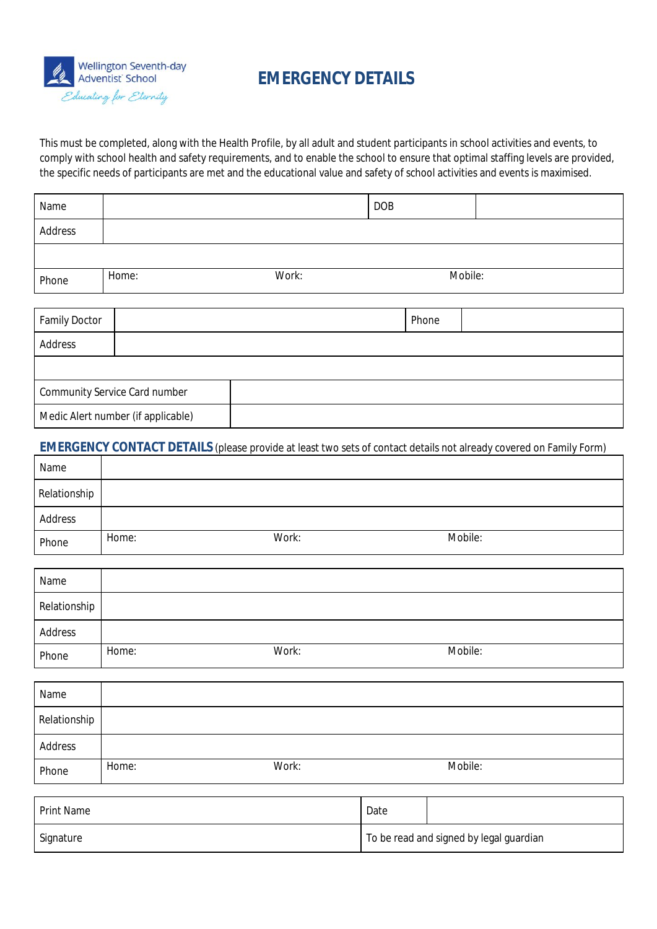

# **EMERGENCY DETAILS**

This must be completed, along with the Health Profile, by all adult and student participants in school activities and events, to comply with school health and safety requirements, and to enable the school to ensure that optimal staffing levels are provided, the specific needs of participants are met and the educational value and safety of school activities and events is maximised.

| Name           |       |       | <b>DOB</b>     |  |
|----------------|-------|-------|----------------|--|
| <b>Address</b> |       |       |                |  |
|                |       |       |                |  |
| Phone          | Home: | Work: | <b>Mobile:</b> |  |

| <b>Family Doctor</b>                 |                                    |  | <b>Phone</b> |  |
|--------------------------------------|------------------------------------|--|--------------|--|
| <b>Address</b>                       |                                    |  |              |  |
|                                      |                                    |  |              |  |
| <b>Community Service Card number</b> |                                    |  |              |  |
|                                      | Medic Alert number (if applicable) |  |              |  |

#### **EMERGENCY CONTACT DETAILS** (please provide at least two sets of contact details not already covered on Family Form)

| Name           |       |       |                |
|----------------|-------|-------|----------------|
| Relationship   |       |       |                |
| <b>Address</b> |       |       |                |
| Phone          | Home: | Work: | <b>Mobile:</b> |

| Name           |       |       |                |  |
|----------------|-------|-------|----------------|--|
| Relationship   |       |       |                |  |
| <b>Address</b> |       |       |                |  |
| Phone          | Home: | Work: | <b>Mobile:</b> |  |

| Name           |       |       |                |  |
|----------------|-------|-------|----------------|--|
| Relationship   |       |       |                |  |
| <b>Address</b> |       |       |                |  |
| Phone          | Home: | Work: | <b>Mobile:</b> |  |

| <b>Print Name</b> | Date                                    |
|-------------------|-----------------------------------------|
| <b>Signature</b>  | To be read and signed by legal guardian |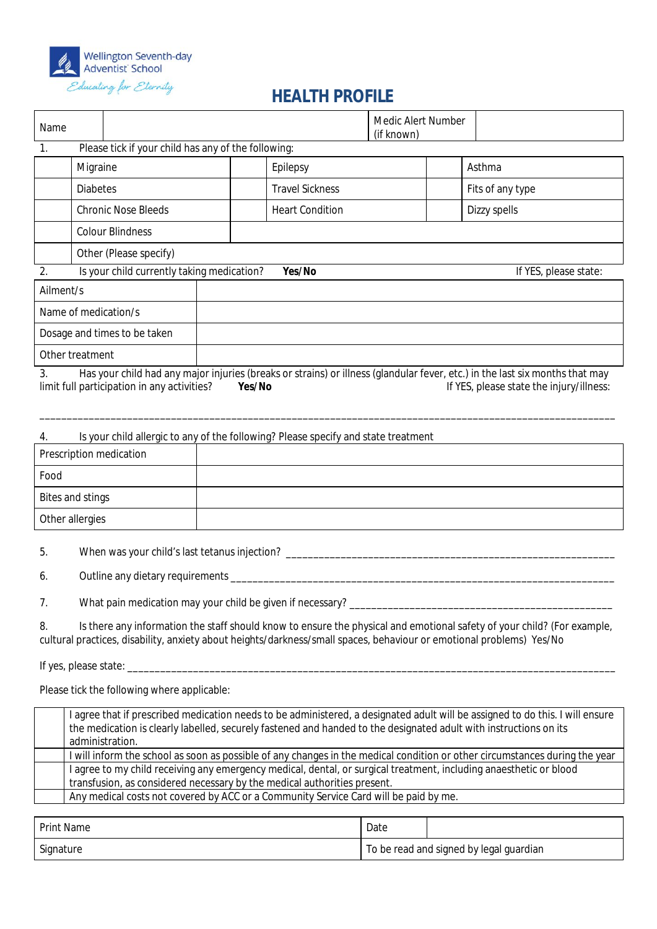

# **HEALTH PROFILE**

| Name                                                                                                                                                                                                                                                                  |                                                     |                                                              |  |        | <b>Medic Alert Number</b><br>(if known)                                            |  |  |                                                                                                                                                                          |
|-----------------------------------------------------------------------------------------------------------------------------------------------------------------------------------------------------------------------------------------------------------------------|-----------------------------------------------------|--------------------------------------------------------------|--|--------|------------------------------------------------------------------------------------|--|--|--------------------------------------------------------------------------------------------------------------------------------------------------------------------------|
| 1.                                                                                                                                                                                                                                                                    | Please tick if your child has any of the following: |                                                              |  |        |                                                                                    |  |  |                                                                                                                                                                          |
|                                                                                                                                                                                                                                                                       | <b>Migraine</b>                                     |                                                              |  |        | <b>Epilepsy</b>                                                                    |  |  | <b>Asthma</b>                                                                                                                                                            |
|                                                                                                                                                                                                                                                                       | <b>Diabetes</b>                                     |                                                              |  |        | <b>Travel Sickness</b>                                                             |  |  | Fits of any type                                                                                                                                                         |
|                                                                                                                                                                                                                                                                       |                                                     | <b>Chronic Nose Bleeds</b>                                   |  |        | <b>Heart Condition</b>                                                             |  |  | <b>Dizzy spells</b>                                                                                                                                                      |
|                                                                                                                                                                                                                                                                       |                                                     | <b>Colour Blindness</b>                                      |  |        |                                                                                    |  |  |                                                                                                                                                                          |
|                                                                                                                                                                                                                                                                       |                                                     | <b>Other (Please specify)</b>                                |  |        |                                                                                    |  |  |                                                                                                                                                                          |
| 2.                                                                                                                                                                                                                                                                    |                                                     | Is your child currently taking medication?                   |  |        | Yes/No                                                                             |  |  | If YES, please state:                                                                                                                                                    |
| Ailment/s                                                                                                                                                                                                                                                             |                                                     |                                                              |  |        |                                                                                    |  |  |                                                                                                                                                                          |
|                                                                                                                                                                                                                                                                       |                                                     | Name of medication/s                                         |  |        |                                                                                    |  |  |                                                                                                                                                                          |
|                                                                                                                                                                                                                                                                       |                                                     | Dosage and times to be taken                                 |  |        |                                                                                    |  |  |                                                                                                                                                                          |
| <b>Other treatment</b>                                                                                                                                                                                                                                                |                                                     |                                                              |  |        |                                                                                    |  |  |                                                                                                                                                                          |
| 3.                                                                                                                                                                                                                                                                    |                                                     | limit full participation in any activities?                  |  | Yes/No |                                                                                    |  |  | Has your child had any major injuries (breaks or strains) or illness (glandular fever, etc.) in the last six months that may<br>If YES, please state the injury/illness: |
| 4.                                                                                                                                                                                                                                                                    |                                                     |                                                              |  |        | Is your child allergic to any of the following? Please specify and state treatment |  |  |                                                                                                                                                                          |
|                                                                                                                                                                                                                                                                       |                                                     | <b>Prescription medication</b>                               |  |        |                                                                                    |  |  |                                                                                                                                                                          |
| Food                                                                                                                                                                                                                                                                  |                                                     |                                                              |  |        |                                                                                    |  |  |                                                                                                                                                                          |
| <b>Bites and stings</b>                                                                                                                                                                                                                                               |                                                     |                                                              |  |        |                                                                                    |  |  |                                                                                                                                                                          |
| <b>Other allergies</b>                                                                                                                                                                                                                                                |                                                     |                                                              |  |        |                                                                                    |  |  |                                                                                                                                                                          |
| When was your child's last tetanus injection? ________<br>5.                                                                                                                                                                                                          |                                                     |                                                              |  |        |                                                                                    |  |  |                                                                                                                                                                          |
| 6.                                                                                                                                                                                                                                                                    |                                                     | Outline any dietary requirements ______                      |  |        |                                                                                    |  |  |                                                                                                                                                                          |
| 7.                                                                                                                                                                                                                                                                    |                                                     | What pain medication may your child be given if necessary? _ |  |        |                                                                                    |  |  |                                                                                                                                                                          |
| Is there any information the staff should know to ensure the physical and emotional safety of your child? (For example,<br>8.<br>cultural practices, disability, anxiety about heights/darkness/small spaces, behaviour or emotional problems) Yes/No                 |                                                     |                                                              |  |        |                                                                                    |  |  |                                                                                                                                                                          |
|                                                                                                                                                                                                                                                                       |                                                     |                                                              |  |        |                                                                                    |  |  |                                                                                                                                                                          |
| Please tick the following where applicable:                                                                                                                                                                                                                           |                                                     |                                                              |  |        |                                                                                    |  |  |                                                                                                                                                                          |
| I agree that if prescribed medication needs to be administered, a designated adult will be assigned to do this. I will ensure<br>the medication is clearly labelled, securely fastened and handed to the designated adult with instructions on its<br>administration. |                                                     |                                                              |  |        |                                                                                    |  |  |                                                                                                                                                                          |
|                                                                                                                                                                                                                                                                       |                                                     |                                                              |  |        |                                                                                    |  |  | I will inform the school as soon as possible of any changes in the medical condition or other circumstances during the year                                              |
| I agree to my child receiving any emergency medical, dental, or surgical treatment, including anaesthetic or blood                                                                                                                                                    |                                                     |                                                              |  |        |                                                                                    |  |  |                                                                                                                                                                          |

transfusion, as considered necessary by the medical authorities present.

Any medical costs not covered by ACC or a Community Service Card will be paid by me.

| <b>Print Name</b> | Date |                                         |
|-------------------|------|-----------------------------------------|
| <b>Signature</b>  |      | To be read and signed by legal guardian |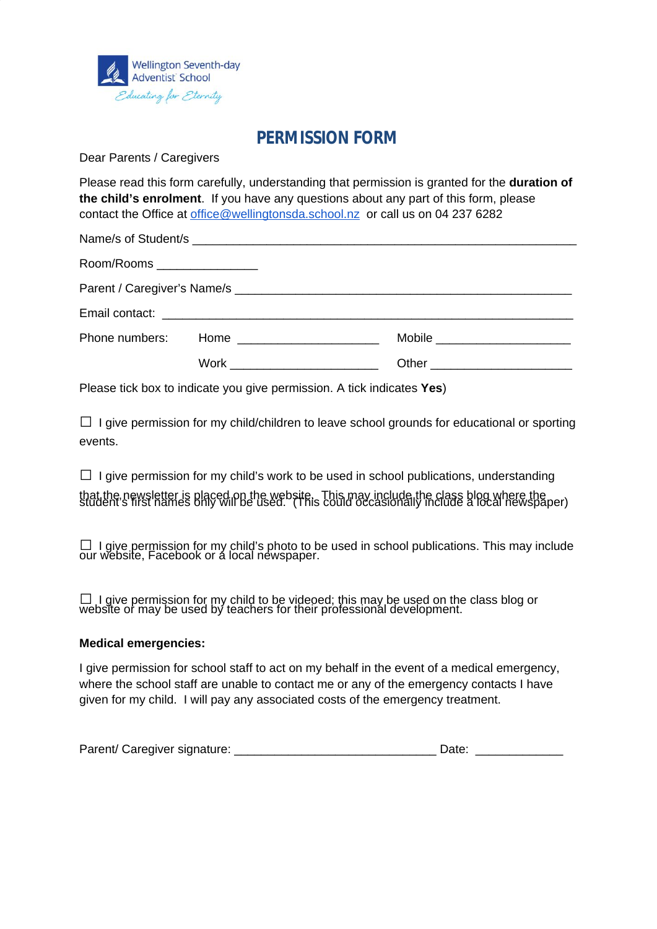

# **PERMISSION FORM**

Dear Parents / Caregivers

Please read this form carefully, understanding that permission is granted for the **duration of the child's enrolment**. If you have any questions about any part of this form, please contact the Office at [office@wellingtonsda.school.nz](mailto:office@wellingtonsda.school.nz) or call us on 04 237 6282

| Room/Rooms _________________ |                                            |                                |
|------------------------------|--------------------------------------------|--------------------------------|
|                              |                                            |                                |
|                              |                                            |                                |
|                              | Phone numbers: Home ______________________ | Mobile _______________________ |
|                              | Work ________________________              |                                |

Please tick box to indicate you give permission. A tick indicates **Yes**)

**□** I give permission for my child/children to leave school grounds for educational or sporting events.

**□** I give permission for my child's work to be used in school publications, understanding that the newsletter is placed on the website. This may include the class blog where the<br>student's first names only will be used. (This could occasionally include a local newspaper)

**□** I give permission for my child's photo to be used in school publications. This may include our website, Facebook or a local newspaper.

**□** I give permission for my child to be videoed; this may be used on the class blog or website or may be used by teachers for their professional development.

#### **Medical emergencies:**

I give permission for school staff to act on my behalf in the event of a medical emergency, where the school staff are unable to contact me or any of the emergency contacts I have given for my child. I will pay any associated costs of the emergency treatment.

| Parent/ Caregiver signature: | Date: |
|------------------------------|-------|
|------------------------------|-------|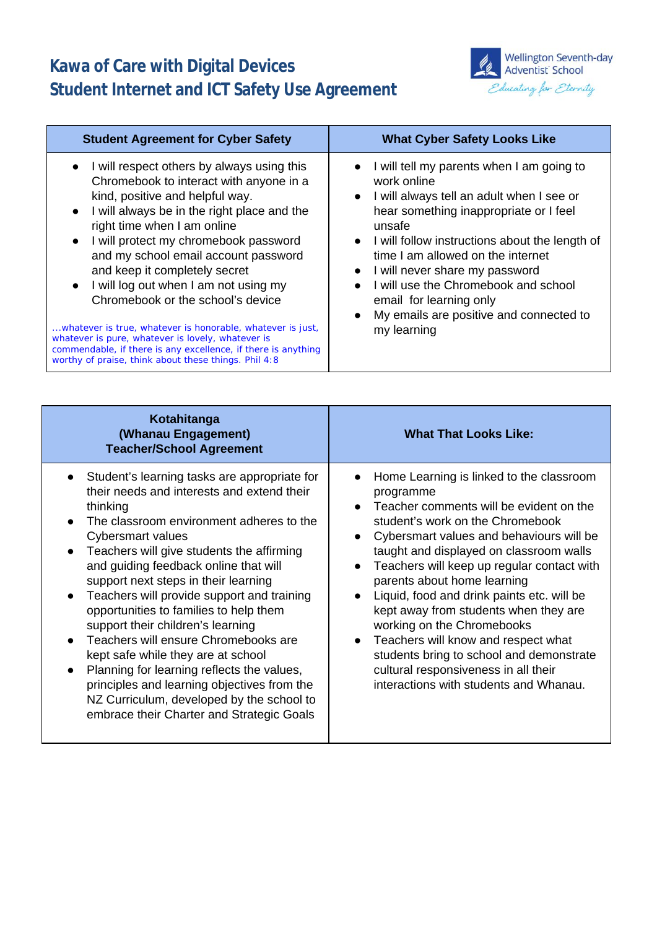# **Kawa of Care with Digital Devices Student Internet and ICT Safety Use Agreement**



| <b>Student Agreement for Cyber Safety</b>                                                                                                                                                                                                                                                                                                                                                                                                                                                                                                                                                                                                                          | <b>What Cyber Safety Looks Like</b>                                                                                                                                                                                                                                                                                                                                                                                   |
|--------------------------------------------------------------------------------------------------------------------------------------------------------------------------------------------------------------------------------------------------------------------------------------------------------------------------------------------------------------------------------------------------------------------------------------------------------------------------------------------------------------------------------------------------------------------------------------------------------------------------------------------------------------------|-----------------------------------------------------------------------------------------------------------------------------------------------------------------------------------------------------------------------------------------------------------------------------------------------------------------------------------------------------------------------------------------------------------------------|
| • I will respect others by always using this<br>Chromebook to interact with anyone in a<br>kind, positive and helpful way.<br>• I will always be in the right place and the<br>right time when I am online<br>• I will protect my chromebook password<br>and my school email account password<br>and keep it completely secret<br>$\bullet$ I will log out when I am not using my<br>Chromebook or the school's device<br>whatever is true, whatever is honorable, whatever is just,<br>whatever is pure, whatever is lovely, whatever is<br>commendable, if there is any excellence, if there is anything<br>worthy of praise, think about these things. Phil 4:8 | I will tell my parents when I am going to<br>work online<br>• I will always tell an adult when I see or<br>hear something inappropriate or I feel<br>unsafe<br>• I will follow instructions about the length of<br>time I am allowed on the internet<br>• I will never share my password<br>I will use the Chromebook and school<br>email for learning only<br>My emails are positive and connected to<br>my learning |

| Kotahitanga<br>(Whanau Engagement)<br><b>Teacher/School Agreement</b>                                                                                                                                                                                                                                                                                                                                                                                                                                                                                                                                                                                                                                                                                       | <b>What That Looks Like:</b>                                                                                                                                                                                                                                                                                                                                                                                                                                                                                                                                                                                                 |
|-------------------------------------------------------------------------------------------------------------------------------------------------------------------------------------------------------------------------------------------------------------------------------------------------------------------------------------------------------------------------------------------------------------------------------------------------------------------------------------------------------------------------------------------------------------------------------------------------------------------------------------------------------------------------------------------------------------------------------------------------------------|------------------------------------------------------------------------------------------------------------------------------------------------------------------------------------------------------------------------------------------------------------------------------------------------------------------------------------------------------------------------------------------------------------------------------------------------------------------------------------------------------------------------------------------------------------------------------------------------------------------------------|
| Student's learning tasks are appropriate for<br>$\bullet$<br>their needs and interests and extend their<br>thinking<br>The classroom environment adheres to the<br>Cybersmart values<br>Teachers will give students the affirming<br>$\bullet$<br>and guiding feedback online that will<br>support next steps in their learning<br>Teachers will provide support and training<br>$\bullet$<br>opportunities to families to help them<br>support their children's learning<br>Teachers will ensure Chromebooks are<br>kept safe while they are at school<br>Planning for learning reflects the values,<br>$\bullet$<br>principles and learning objectives from the<br>NZ Curriculum, developed by the school to<br>embrace their Charter and Strategic Goals | Home Learning is linked to the classroom<br>programme<br>Teacher comments will be evident on the<br>student's work on the Chromebook<br>Cybersmart values and behaviours will be<br>$\bullet$<br>taught and displayed on classroom walls<br>Teachers will keep up regular contact with<br>$\bullet$<br>parents about home learning<br>Liquid, food and drink paints etc. will be<br>kept away from students when they are<br>working on the Chromebooks<br>Teachers will know and respect what<br>students bring to school and demonstrate<br>cultural responsiveness in all their<br>interactions with students and Whanau. |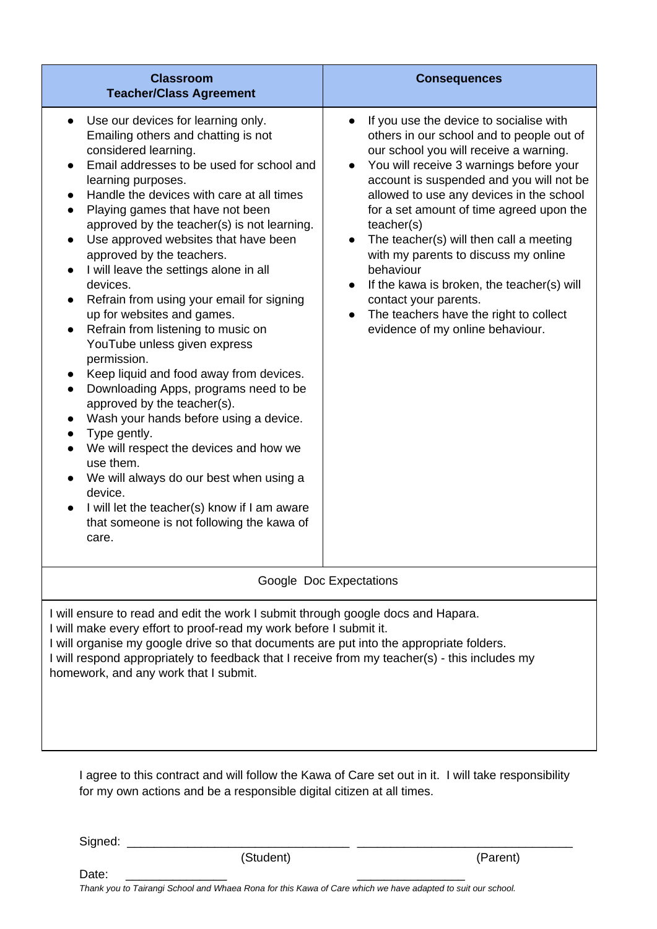| <b>Classroom</b><br><b>Teacher/Class Agreement</b>                                                                                                                                                                                                                                                                                                                                                                                                                                                                                                                                                                                                                                                                                                                                                                                                                                                                                                                                                                                                                                                      | <b>Consequences</b>                                                                                                                                                                                                                                                                                                                                                                                                                                                                                                                                                                                         |  |  |
|---------------------------------------------------------------------------------------------------------------------------------------------------------------------------------------------------------------------------------------------------------------------------------------------------------------------------------------------------------------------------------------------------------------------------------------------------------------------------------------------------------------------------------------------------------------------------------------------------------------------------------------------------------------------------------------------------------------------------------------------------------------------------------------------------------------------------------------------------------------------------------------------------------------------------------------------------------------------------------------------------------------------------------------------------------------------------------------------------------|-------------------------------------------------------------------------------------------------------------------------------------------------------------------------------------------------------------------------------------------------------------------------------------------------------------------------------------------------------------------------------------------------------------------------------------------------------------------------------------------------------------------------------------------------------------------------------------------------------------|--|--|
| Use our devices for learning only.<br>$\bullet$<br>Emailing others and chatting is not<br>considered learning.<br>Email addresses to be used for school and<br>learning purposes.<br>Handle the devices with care at all times<br>$\bullet$<br>Playing games that have not been<br>approved by the teacher(s) is not learning.<br>Use approved websites that have been<br>$\bullet$<br>approved by the teachers.<br>I will leave the settings alone in all<br>devices.<br>Refrain from using your email for signing<br>$\bullet$<br>up for websites and games.<br>Refrain from listening to music on<br>$\bullet$<br>YouTube unless given express<br>permission.<br>Keep liquid and food away from devices.<br>Downloading Apps, programs need to be<br>$\bullet$<br>approved by the teacher(s).<br>Wash your hands before using a device.<br>$\bullet$<br>Type gently.<br>We will respect the devices and how we<br>$\bullet$<br>use them.<br>We will always do our best when using a<br>device.<br>I will let the teacher(s) know if I am aware<br>that someone is not following the kawa of<br>care. | If you use the device to socialise with<br>others in our school and to people out of<br>our school you will receive a warning.<br>You will receive 3 warnings before your<br>account is suspended and you will not be<br>allowed to use any devices in the school<br>for a set amount of time agreed upon the<br>teacher(s)<br>The teacher(s) will then call a meeting<br>with my parents to discuss my online<br>behaviour<br>If the kawa is broken, the teacher(s) will<br>contact your parents.<br>The teachers have the right to collect<br>evidence of my online behaviour.<br>Google Doc Expectations |  |  |
| I will ensure to read and edit the work I submit through google docs and Hapara.<br>I will make every effort to proof-read my work before I submit it.                                                                                                                                                                                                                                                                                                                                                                                                                                                                                                                                                                                                                                                                                                                                                                                                                                                                                                                                                  |                                                                                                                                                                                                                                                                                                                                                                                                                                                                                                                                                                                                             |  |  |

I will organise my google drive so that documents are put into the appropriate folders. I will respond appropriately to feedback that I receive from my teacher(s) - this includes my homework, and any work that I submit.

I agree to this contract and will follow the Kawa of Care set out in it. I will take responsibility for my own actions and be a responsible digital citizen at all times.

Signed:

(Student)

(Parent)

Date:

Thank you to Tairangi School and Whaea Rona for this Kawa of Care which we have adapted to suit our school.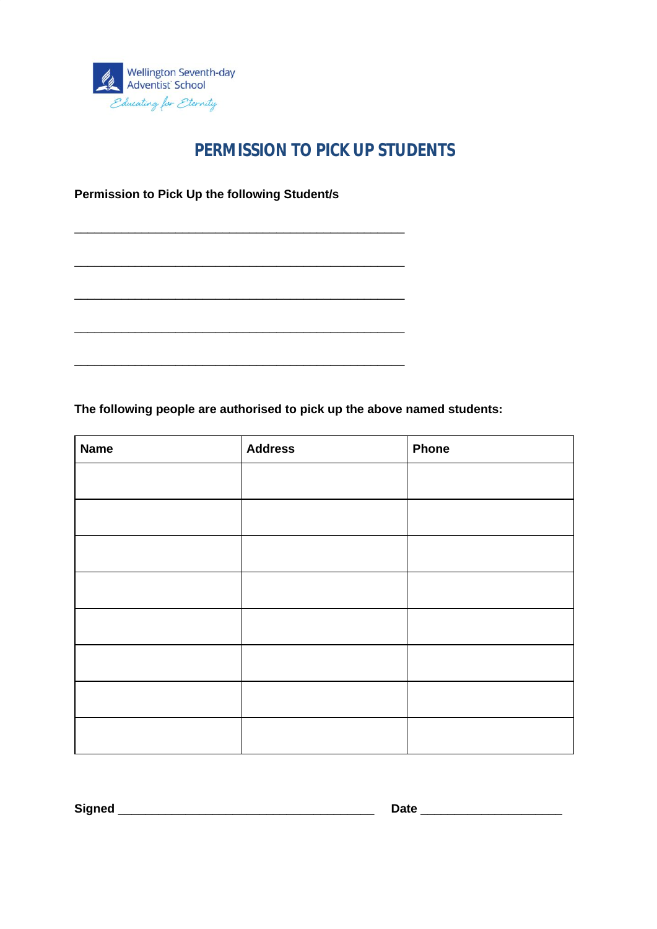

# **PERMISSION TO PICK UP STUDENTS**

**Permission to Pick Up the following Student/s**

\_\_\_\_\_\_\_\_\_\_\_\_\_\_\_\_\_\_\_\_\_\_\_\_\_\_\_\_\_\_\_\_\_\_\_\_\_\_\_\_\_\_\_\_\_\_\_\_\_

\_\_\_\_\_\_\_\_\_\_\_\_\_\_\_\_\_\_\_\_\_\_\_\_\_\_\_\_\_\_\_\_\_\_\_\_\_\_\_\_\_\_\_\_\_\_\_\_\_

\_\_\_\_\_\_\_\_\_\_\_\_\_\_\_\_\_\_\_\_\_\_\_\_\_\_\_\_\_\_\_\_\_\_\_\_\_\_\_\_\_\_\_\_\_\_\_\_\_

\_\_\_\_\_\_\_\_\_\_\_\_\_\_\_\_\_\_\_\_\_\_\_\_\_\_\_\_\_\_\_\_\_\_\_\_\_\_\_\_\_\_\_\_\_\_\_\_\_

\_\_\_\_\_\_\_\_\_\_\_\_\_\_\_\_\_\_\_\_\_\_\_\_\_\_\_\_\_\_\_\_\_\_\_\_\_\_\_\_\_\_\_\_\_\_\_\_\_

**The following people are authorised to pick up the above named students:**

| <b>Name</b> | <b>Address</b> | Phone |
|-------------|----------------|-------|
|             |                |       |
|             |                |       |
|             |                |       |
|             |                |       |
|             |                |       |
|             |                |       |
|             |                |       |
|             |                |       |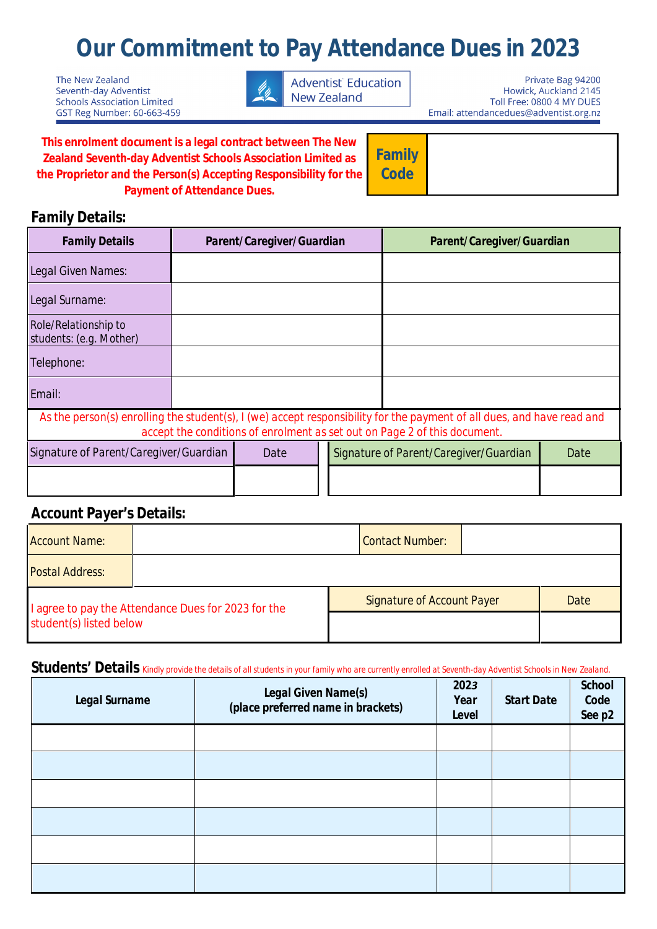# **Our Commitment to Pay Attendance Dues in 2023**

The New Zealand Seventh-day Adventist **Schools Association Limited** GST Reg Number: 60-663-459



Private Bag 94200 Howick, Auckland 2145 Toll Free: 0800 4 MY DUES Email: attendancedues@adventist.org.nz

This enrolment document is a legal contract between The New **Zealand Seventh-day Adventist Schools Association Limited as** the Proprietor and the Person(s) Accepting Responsibility for the **Payment of Attendance Dues.** 

**Family Code** 

## **Family Details:**

| <b>Family Details</b>                                  | Parent/Caregiver/Guardian |             | <b>Parent/Caregiver/Guardian</b>       |                                                                                                                                                                                                     |             |
|--------------------------------------------------------|---------------------------|-------------|----------------------------------------|-----------------------------------------------------------------------------------------------------------------------------------------------------------------------------------------------------|-------------|
| <b>Legal Given Names:</b>                              |                           |             |                                        |                                                                                                                                                                                                     |             |
| <b>Legal Surname:</b>                                  |                           |             |                                        |                                                                                                                                                                                                     |             |
| <b>Role/Relationship to</b><br>students: (e.g. Mother) |                           |             |                                        |                                                                                                                                                                                                     |             |
| <b>Telephone:</b>                                      |                           |             |                                        |                                                                                                                                                                                                     |             |
| <b>Email:</b>                                          |                           |             |                                        |                                                                                                                                                                                                     |             |
|                                                        |                           |             |                                        | As the person(s) enrolling the student(s), I (we) accept responsibility for the payment of all dues, and have read and<br>accept the conditions of enrolment as set out on Page 2 of this document. |             |
| Signature of Parent/Caregiver/Guardian                 |                           | <b>Date</b> | Signature of Parent/Caregiver/Guardian |                                                                                                                                                                                                     | <b>Date</b> |
|                                                        |                           |             |                                        |                                                                                                                                                                                                     |             |

## **Account Payer's Details:**

| <b>Account Name:</b>                                |  | <b>Contact Number:</b>            |             |
|-----------------------------------------------------|--|-----------------------------------|-------------|
| <b>Postal Address:</b>                              |  |                                   |             |
| I agree to pay the Attendance Dues for 2023 for the |  | <b>Signature of Account Payer</b> | <b>Date</b> |
| student(s) listed below                             |  |                                   |             |

## Students' Details Kindly provide the details of all students in your family who are currently enrolled at Seventh-day Adventist Schools in New Zealand.

| <b>Legal Surname</b> | <i>Legal Given Name(s)</i><br>(place preferred name in brackets) | 2023<br><b>Year</b><br><b>Level</b> | <b>Start Date</b> | <b>School</b><br><b>Code</b><br>See p2 |
|----------------------|------------------------------------------------------------------|-------------------------------------|-------------------|----------------------------------------|
|                      |                                                                  |                                     |                   |                                        |
|                      |                                                                  |                                     |                   |                                        |
|                      |                                                                  |                                     |                   |                                        |
|                      |                                                                  |                                     |                   |                                        |
|                      |                                                                  |                                     |                   |                                        |
|                      |                                                                  |                                     |                   |                                        |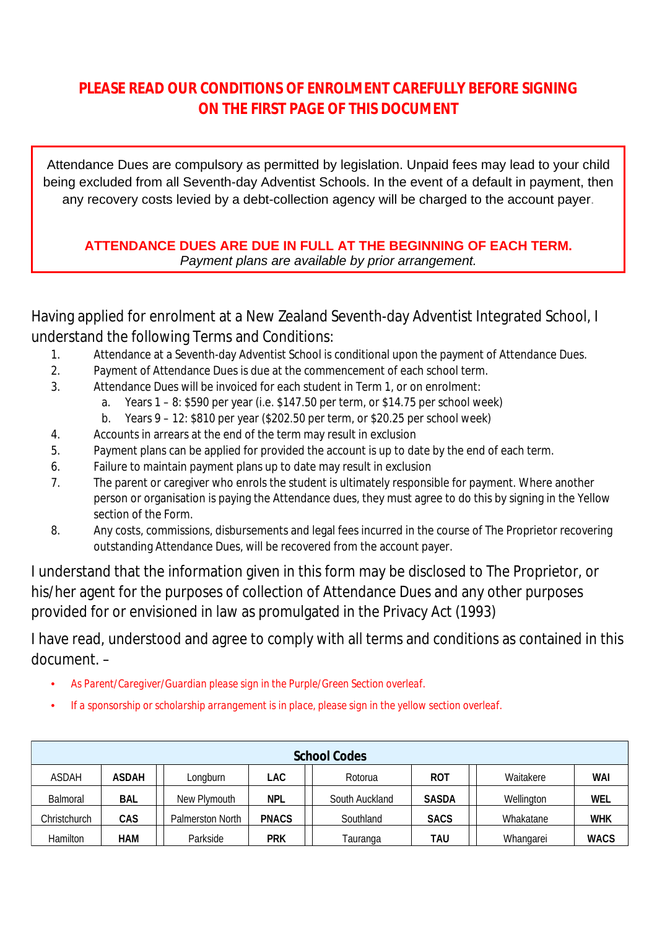# **PIEASE READ OUR CONDITIONS OF ENROIMENT CAREFULLY BEFORE SIGNING** ON THE FIRST PAGE OF THIS DOCUMENT

Attendance Dues are compulsory as permitted by legislation. Unpaid fees may lead to your child being excluded from all Seventh-day Adventist Schools. In the event of a default in payment, then any recovery costs levied by a debt-collection agency will be charged to the account payer.

### ATTENDANCE DUES ARE DUE IN FULL AT THE BEGINNING OF EACH TERM. Payment plans are available by prior arrangement.

## Having applied for enrolment at a New Zealand Seventh-day Adventist Integrated School, I understand the following Terms and Conditions:

- Attendance at a Seventh-day Adventist School is conditional upon the payment of Attendance Dues.  $\mathbf{1}$ .
- $2<sup>0</sup>$ Payment of Attendance Dues is due at the commencement of each school term.
- $\overline{3}$ . Attendance Dues will be invoiced for each student in Term 1, or on enrolment:
	- Years 1 8: \$590 per year (i.e. \$147.50 per term, or \$14.75 per school week)  $\mathbf{a}$ .
	- Years 9 12: \$810 per year (\$202.50 per term, or \$20.25 per school week)  $h_{\cdot}$
- 4. Accounts in arrears at the end of the term may result in exclusion
- $5<sub>1</sub>$ Payment plans can be applied for provided the account is up to date by the end of each term.
- Failure to maintain payment plans up to date may result in exclusion  $6.$
- $\overline{7}$ . The parent or caregiver who enrols the student is ultimately responsible for payment. Where another person or organisation is paying the Attendance dues, they must agree to do this by signing in the Yellow section of the Form.
- $\mathbf{R}$ Any costs, commissions, disbursements and legal fees incurred in the course of The Proprietor recovering outstanding Attendance Dues, will be recovered from the account payer.

I understand that the information given in this form may be disclosed to The Proprietor, or his/her agent for the purposes of collection of Attendance Dues and any other purposes provided for or envisioned in law as promulgated in the Privacy Act (1993)

I have read, understood and agree to comply with all terms and conditions as contained in this document. -

- As Parent/Caregiver/Guardian please sign in the Purple/Green Section overleaf.
- If a sponsorship or scholarship arrangement is in place, please sign in the yellow section overleaf.

|                 | <b>School Codes</b> |                         |              |                |              |            |             |
|-----------------|---------------------|-------------------------|--------------|----------------|--------------|------------|-------------|
| <b>ASDAH</b>    | <b>ASDAH</b>        | Longburn                | <b>LAC</b>   | Rotorua        | <b>ROT</b>   | Waitakere  | WAI         |
| <b>Balmoral</b> | <b>BAL</b>          | New Plymouth            | <b>NPL</b>   | South Auckland | <b>SASDA</b> | Wellington | <b>WEL</b>  |
| Christchurch    | <b>CAS</b>          | <b>Palmerston North</b> | <b>PNACS</b> | Southland      | <b>SACS</b>  | Whakatane  | <b>WHK</b>  |
| Hamilton        | <b>HAM</b>          | Parkside                | <b>PRK</b>   | Tauranga       | tau          | Whangarei  | <b>WACS</b> |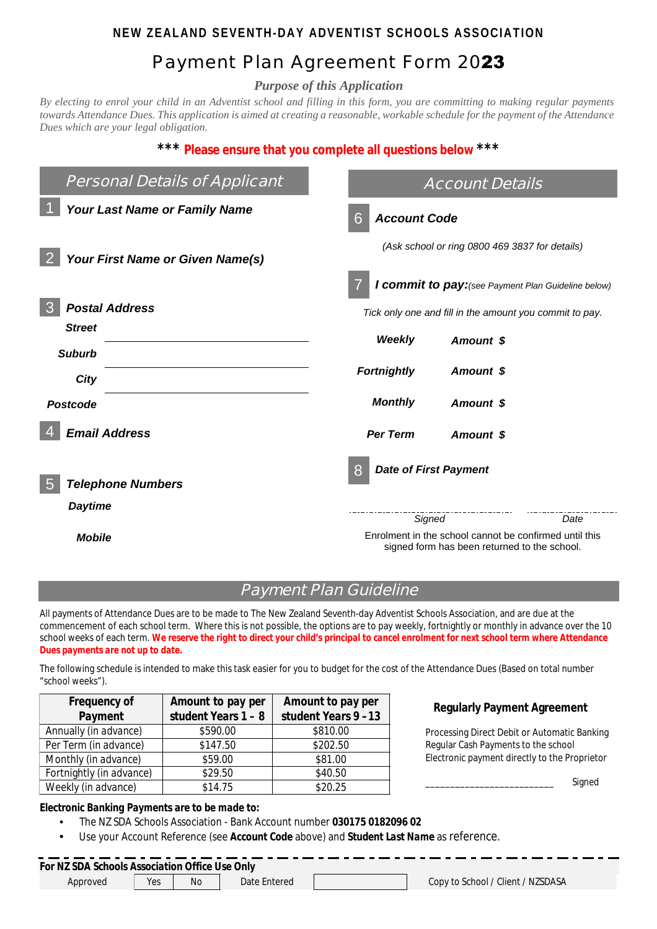## <code>NEW ZEALAND SEVENTH-DAY ADVENTIST SCHOOLS ASSOCIATION</code>

# Payment Plan Agreement Form 2023

*Purpose of this Application*

*By electing to enrol your child in an Adventist school and filling in this form, you are committing to making regular payments towards Attendance Dues. This application is aimed at creating a reasonable, workable schedule for the payment of the Attendance Dues which are your legal obligation.*

#### **\*\*\* Please ensure that you complete all questions below \*\*\***

| <b>Personal Details of Applicant</b> | <b>Account Details</b>                                                                                 |  |  |
|--------------------------------------|--------------------------------------------------------------------------------------------------------|--|--|
| <b>Your Last Name or Family Name</b> | <b>Account Code</b><br>6                                                                               |  |  |
| Your First Name or Given Name(s)     | (Ask school or ring 0800 469 3837 for details)                                                         |  |  |
|                                      | I commit to pay: (see Payment Plan Guideline below)                                                    |  |  |
| <b>Postal Address</b>                | Tick only one and fill in the amount you commit to pay.                                                |  |  |
| <b>Street</b>                        | Weekly<br>Amount \$                                                                                    |  |  |
| <b>Suburb</b>                        |                                                                                                        |  |  |
| City                                 | <b>Fortnightly</b><br>Amount \$                                                                        |  |  |
| <b>Postcode</b>                      | <b>Monthly</b><br>Amount \$                                                                            |  |  |
| <b>Email Address</b>                 | <b>Per Term</b><br>Amount \$                                                                           |  |  |
| <b>Telephone Numbers</b>             | <b>Date of First Payment</b><br>8                                                                      |  |  |
| <b>Daytime</b>                       | Signed<br>Date                                                                                         |  |  |
| Mobile                               | Enrolment in the school cannot be confirmed until this<br>signed form has been returned to the school. |  |  |

## **Payment Plan Guideline**

All payments of Attendance Dues are to be made to The New Zealand Seventh-day Adventist Schools Association, and are due at the commencement of each school term. Where this is not possible, the options are to pay weekly, fortnightly or monthly in advance over the 10 school weeks of each term. *We reserve the right to direct your child 's principal to cancel enrolment for next school term where Attendance Dues payments are not up to date.*

The following schedule is intended to make this task easier for you to budget for the cost of the Attendance Dues (Based on total number "school weeks").

| <b>Frequency of</b>      | <b>Amount to pay per</b> | <b>Amount to pay per</b> |
|--------------------------|--------------------------|--------------------------|
| <b>Payment</b>           | student Years $1 - 8$    | student Years 9-13       |
| Annually (in advance)    | \$590.00                 | \$810.00                 |
| Per Term (in advance)    | \$147.50                 | \$202.50                 |
| Monthly (in advance)     | \$59.00                  | \$81.00                  |
| Fortnightly (in advance) | \$29.50                  | \$40.50                  |
| Weekly (in advance)      | \$14.75                  | \$20.25                  |

#### **Regularly Payment Agreement**

Processing Direct Debit or Automatic Banking Regular Cash Payments to the school Electronic payment directly to the Proprietor

Signed

#### *Electronic Banking Payments are to be made to:*

- The NZ SDA Schools Association Bank Account number **030175 0182096 02**
- Use your Account Reference (see *Account Code* above) and *Student Last Name* as reference.

#### *For NZ SDA Schools Association Office Use Only* **Yes**

Approved Yes No Date Entered Copy to School / Client / NZSDASA